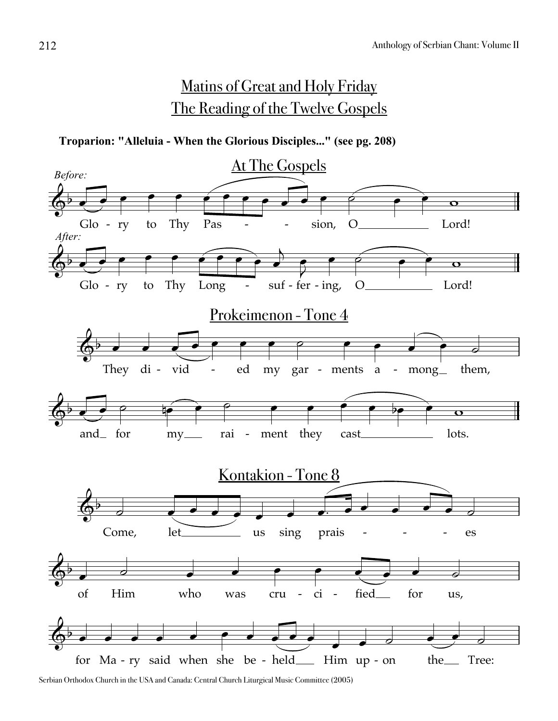# Matins of Great and Holy Friday The Reading of the Twelve Gospels

**Troparion: "Alleluia - When the Glorious Disciples..." (see pg. 208)**

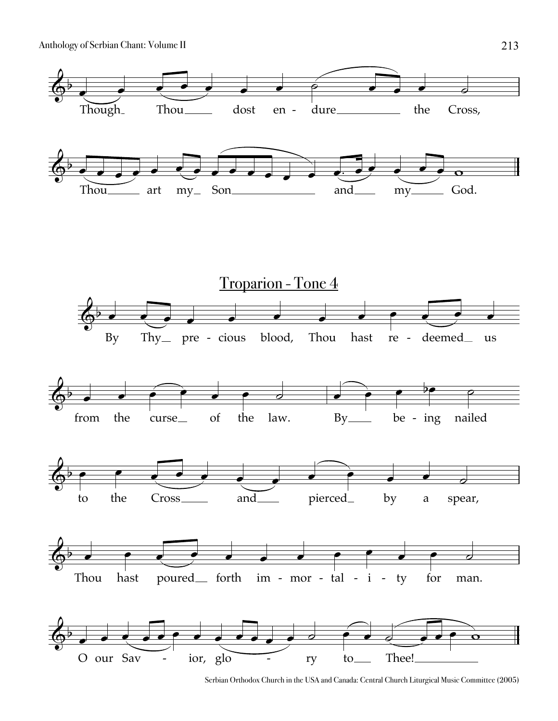

Serbian Orthodox Church in the USA and Canada: Central Church Liturgical Music Committee (2005)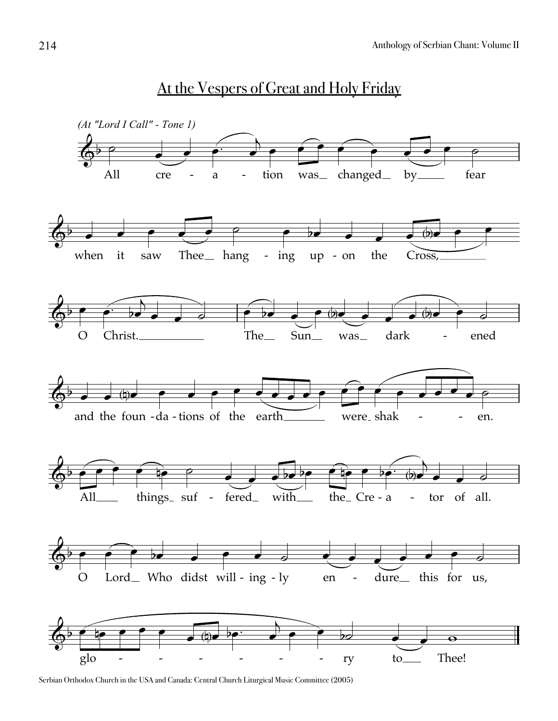

At the Vespers of Great and Holy Friday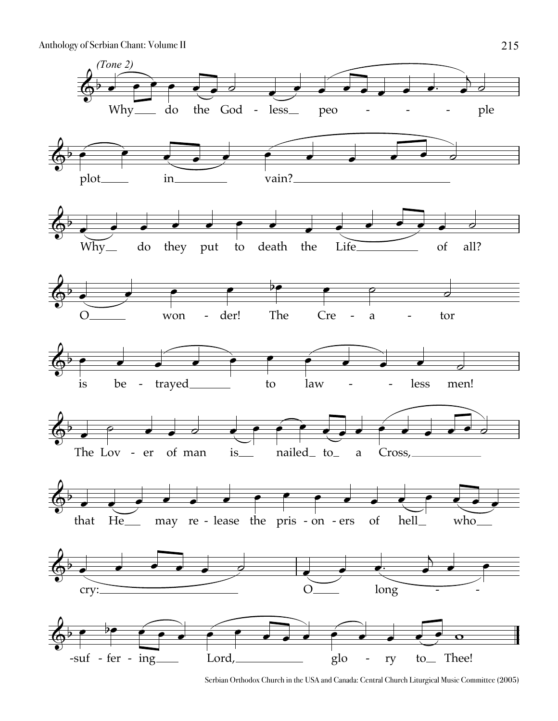

Serbian Orthodox Church in the USA and Canada: Central Church Liturgical Music Committee (2005)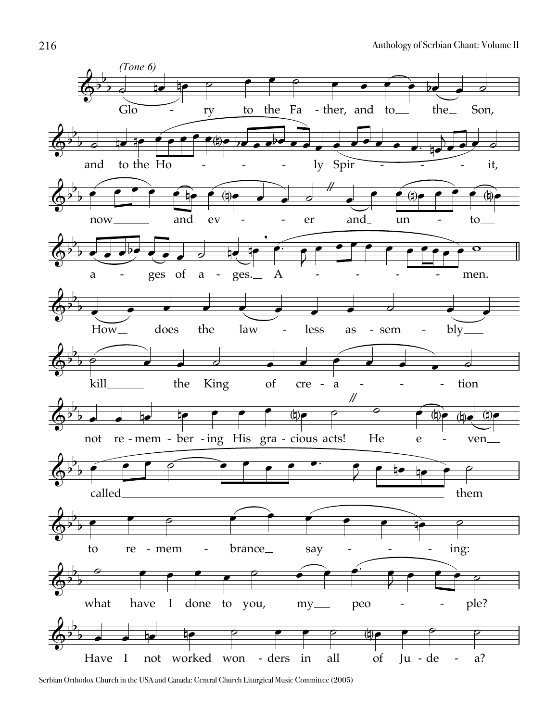

Serbian Orthodox Church in the USA and Canada: Central Church Liturgical Music Committee (2005)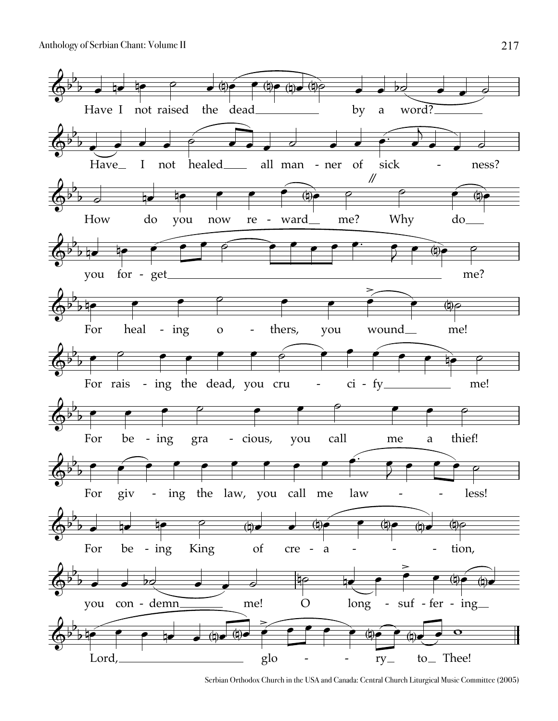

Serbian Orthodox Church in the USA and Canada: Central Church Liturgical Music Committee (2005)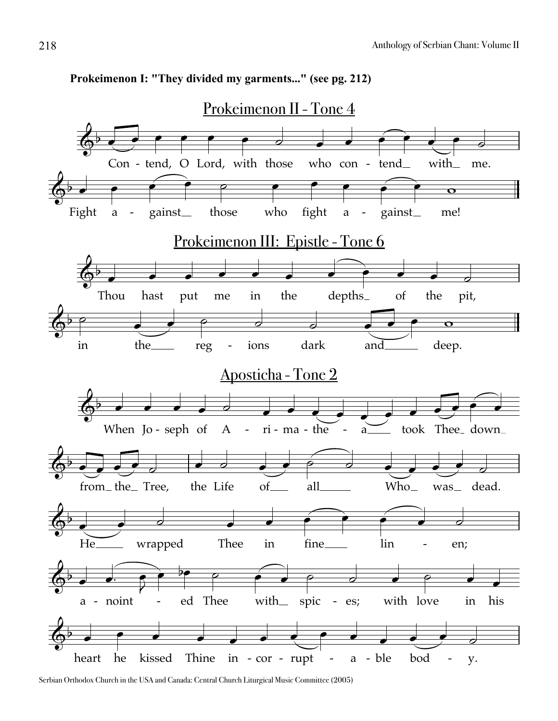

#### **Prokeimenon I: "They divided my garments..." (see pg. 212)**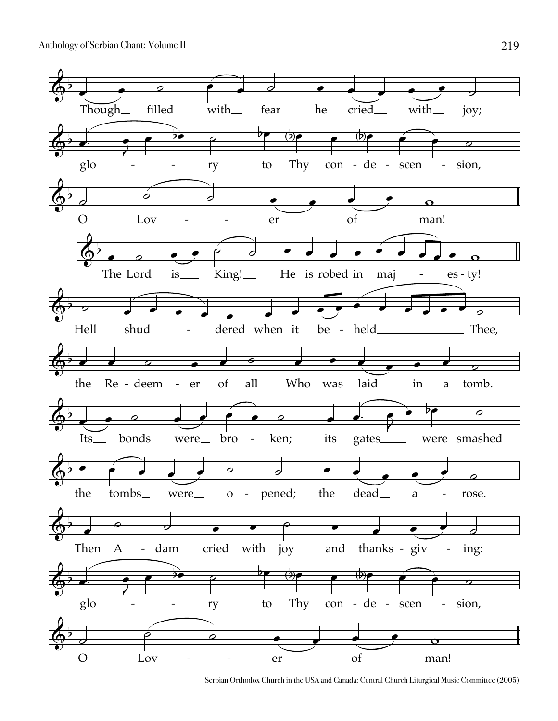

Serbian Orthodox Church in the USA and Canada: Central Church Liturgical Music Committee (2005)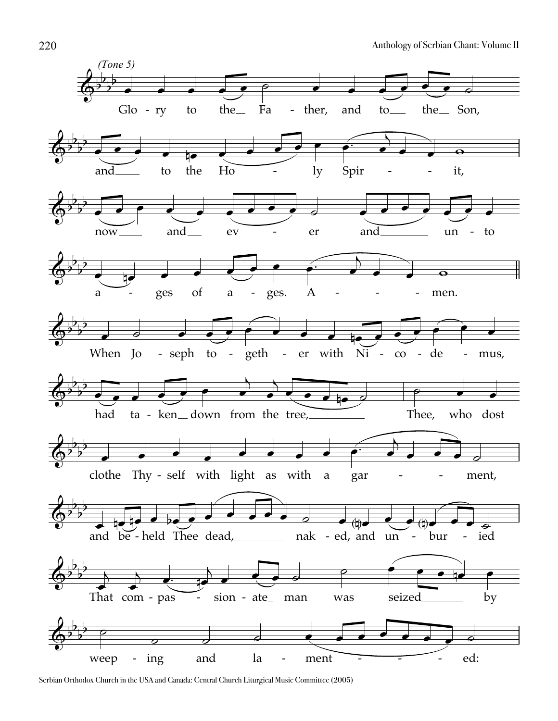

Serbian Orthodox Church in the USA and Canada: Central Church Liturgical Music Committee (2005)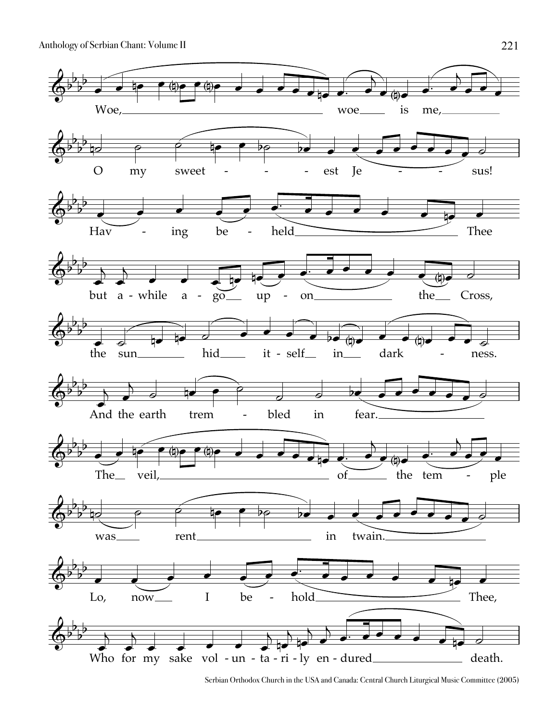

Serbian Orthodox Church in the USA and Canada: Central Church Liturgical Music Committee (2005)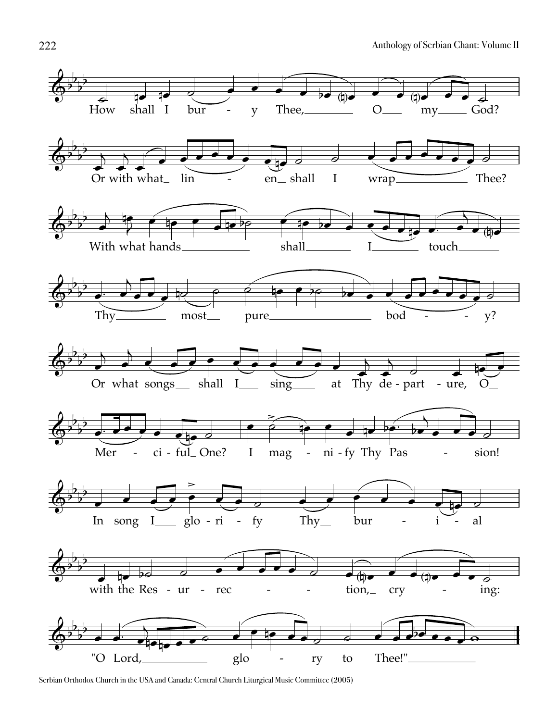

Serbian Orthodox Church in the USA and Canada: Central Church Liturgical Music Committee (2005)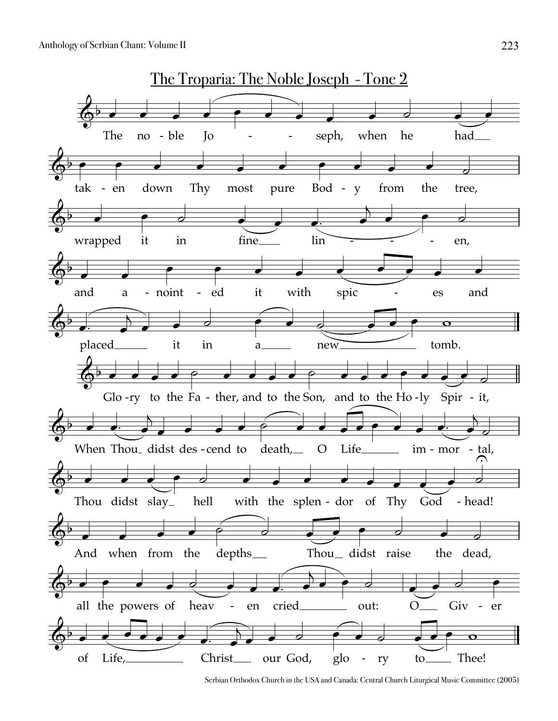

Serbian Orthodox Church in the USA and Canada: Central Church Liturgical Music Committee (2005)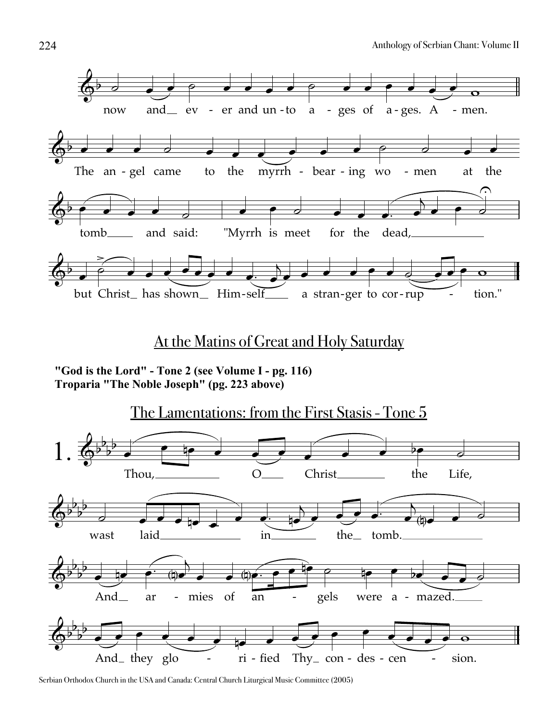

### At the Matins of Great and Holy Saturday

"God is the Lord" - Tone 2 (see Volume I - pg. 116) Troparia "The Noble Joseph" (pg. 223 above)

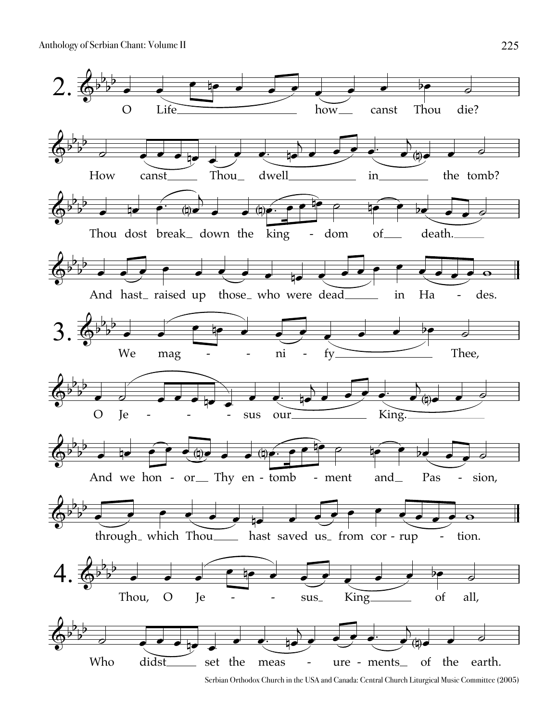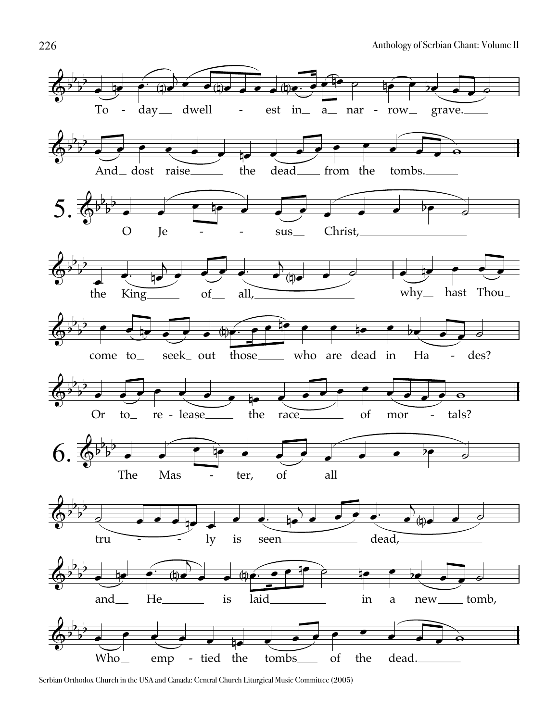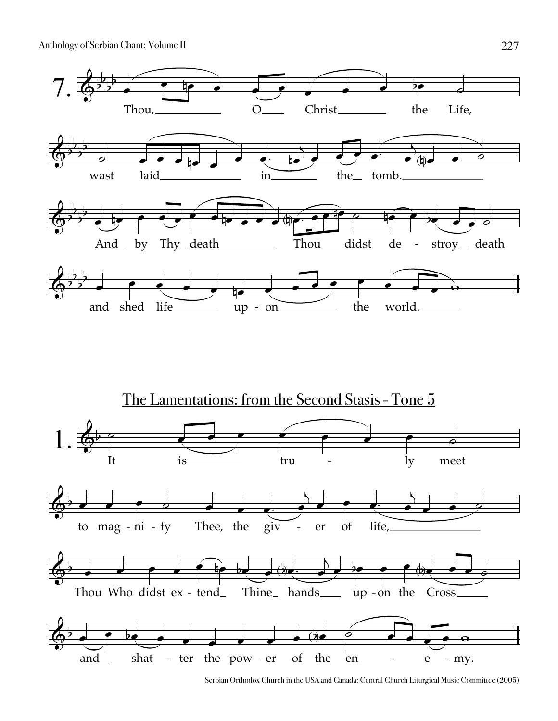



Serbian Orthodox Church in the USA and Canada: Central Church Liturgical Music Committee (2005)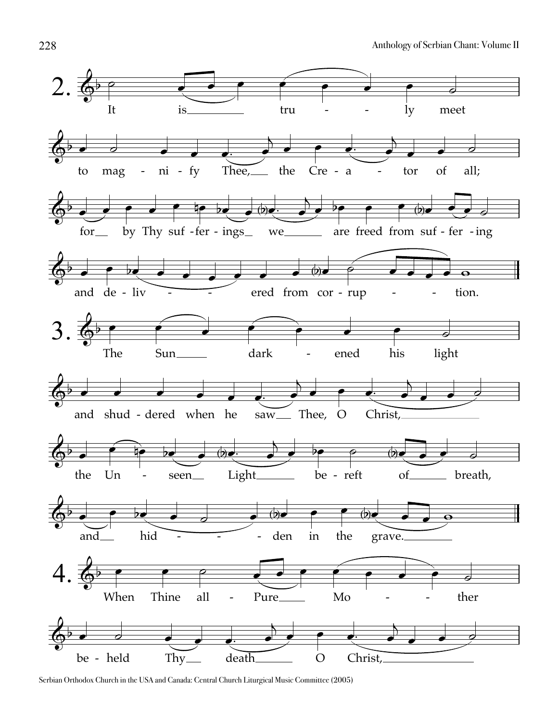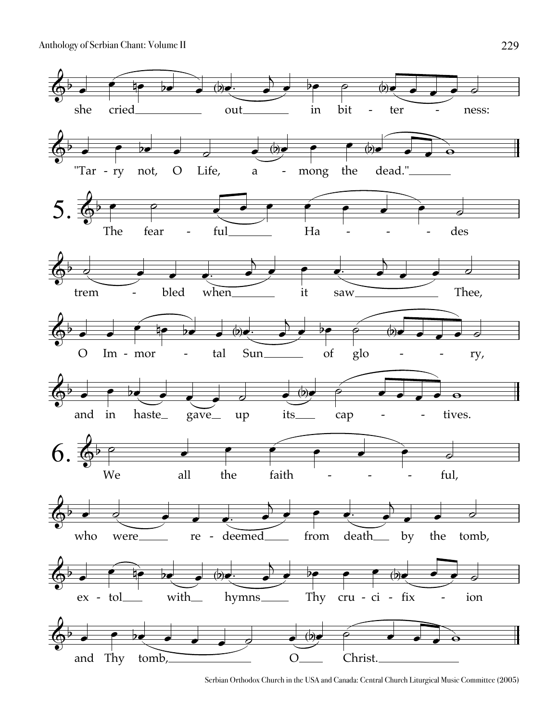

Serbian Orthodox Church in the USA and Canada: Central Church Liturgical Music Committee (2005)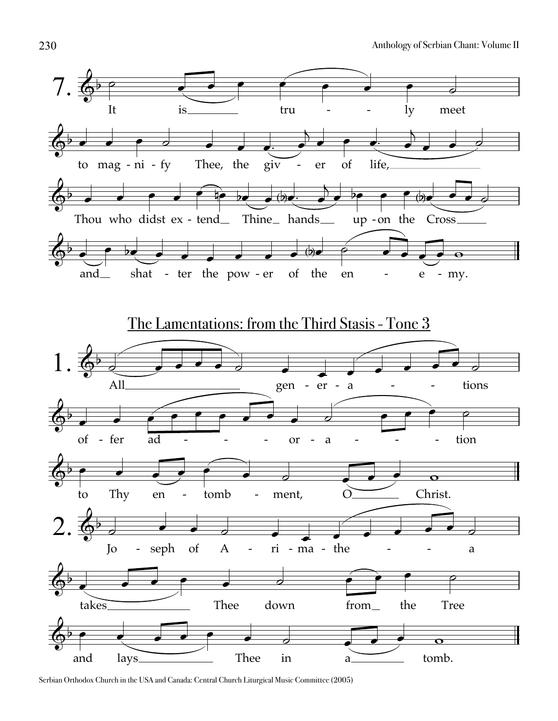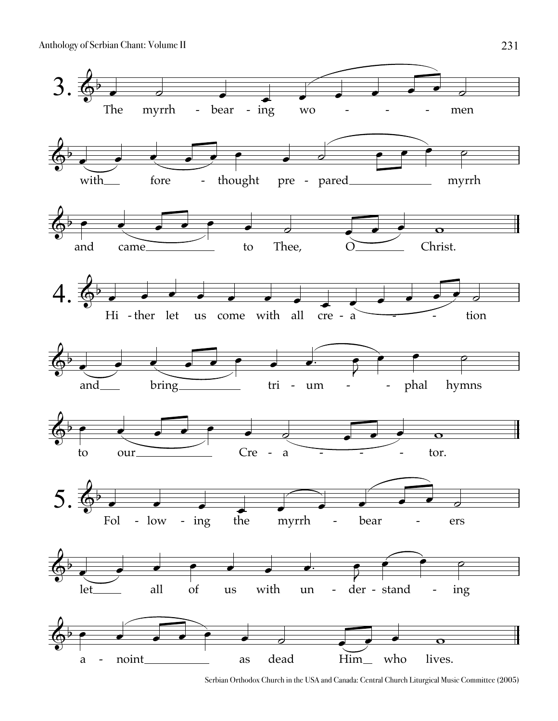

Serbian Orthodox Church in the USA and Canada: Central Church Liturgical Music Committee (2005)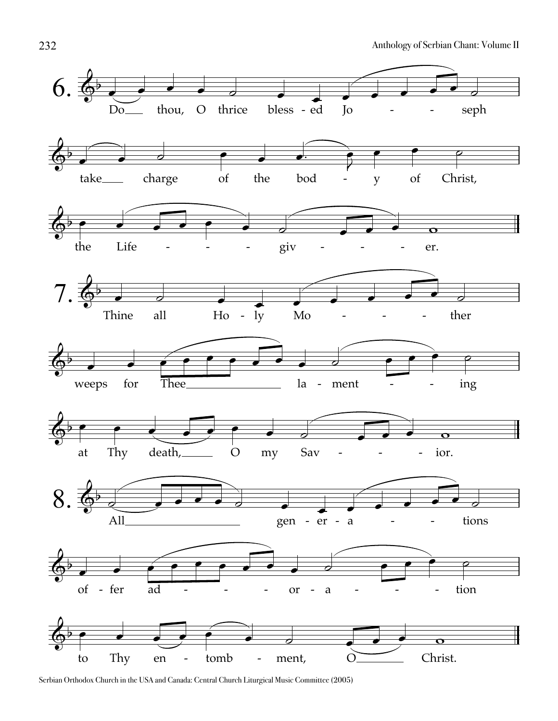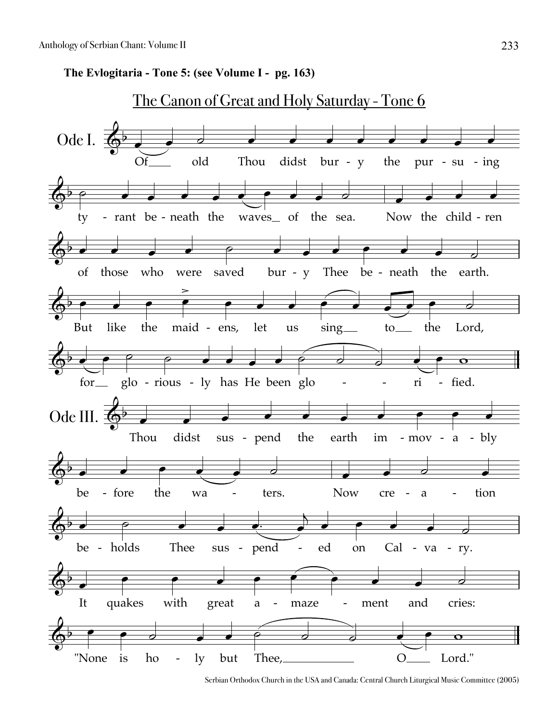The Evlogitaria - Tone 5: (see Volume I - pg. 163)



Serbian Orthodox Church in the USA and Canada: Central Church Liturgical Music Committee (2005)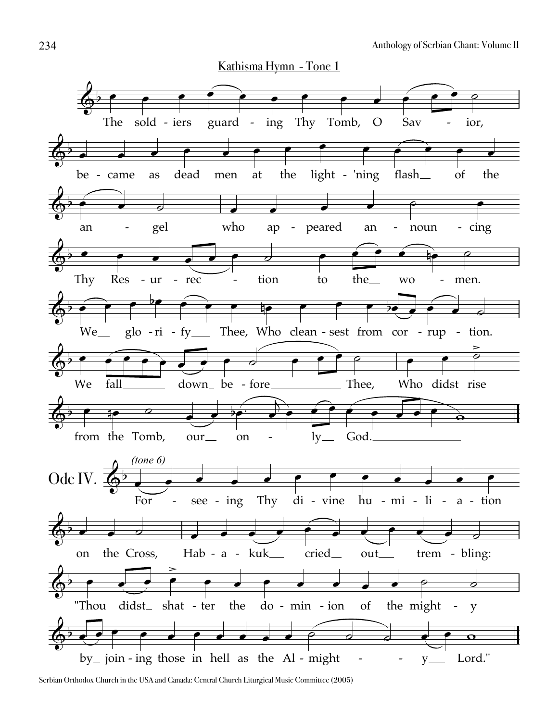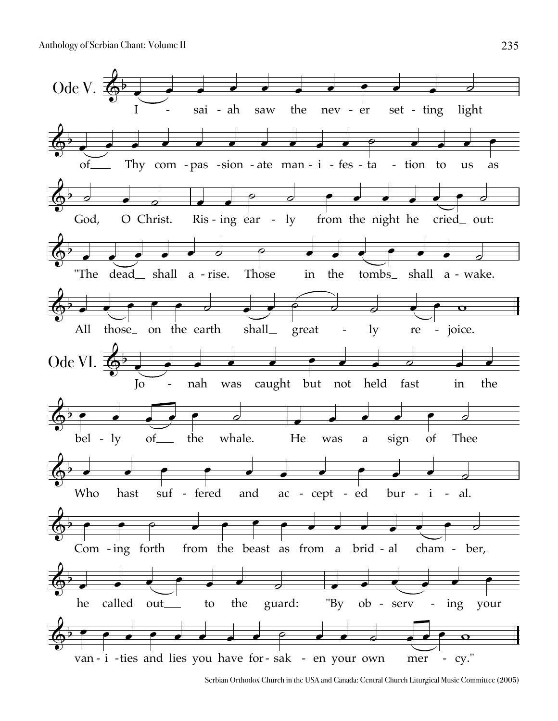

Serbian Orthodox Church in the USA and Canada: Central Church Liturgical Music Committee (2005)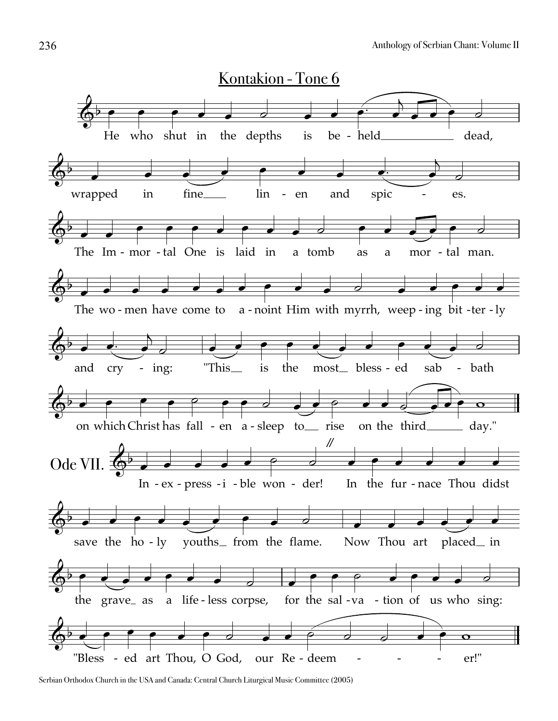

Serbian Orthodox Church in the USA and Canada: Central Church Liturgical Music Committee (2005)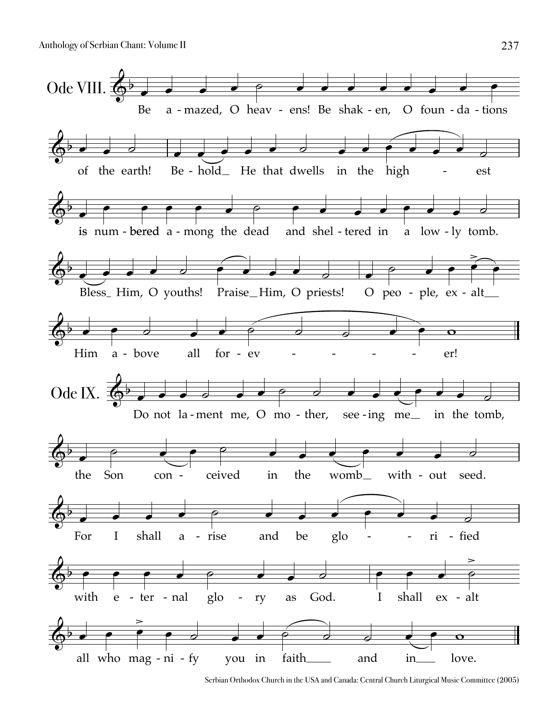

Serbian Orthodox Church in the USA and Canada: Central Church Liturgical Music Committee (2005)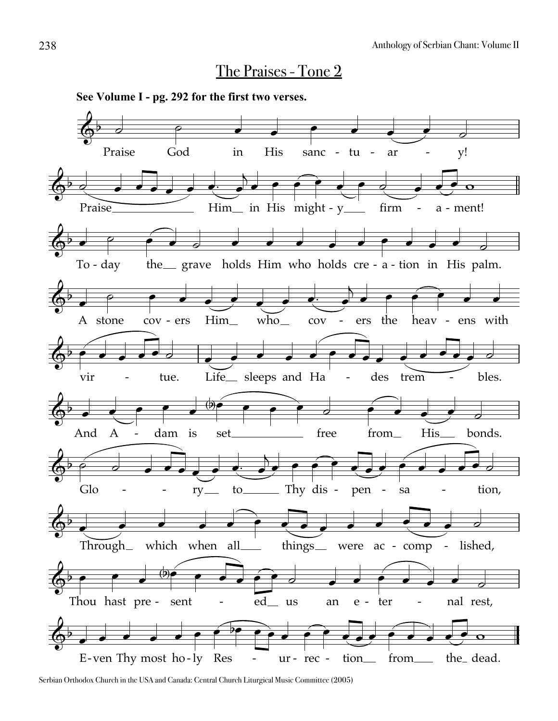#### The Praises - Tone 2



**See Volume I - pg. 292 for the first two verses.**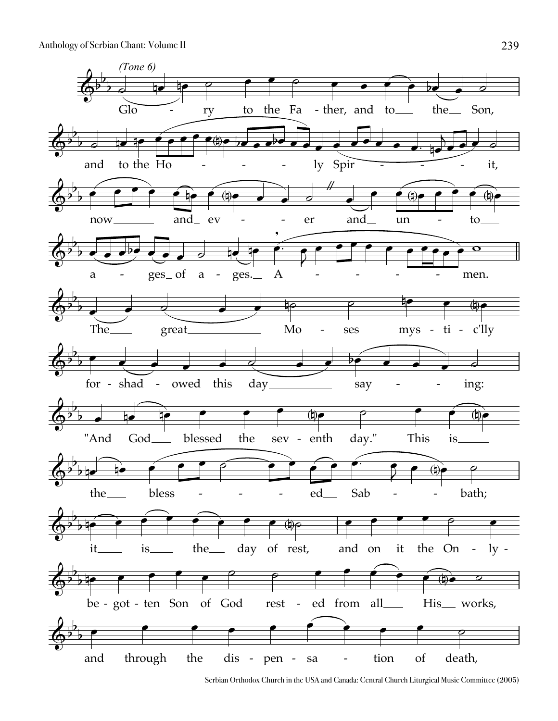

Serbian Orthodox Church in the USA and Canada: Central Church Liturgical Music Committee (2005)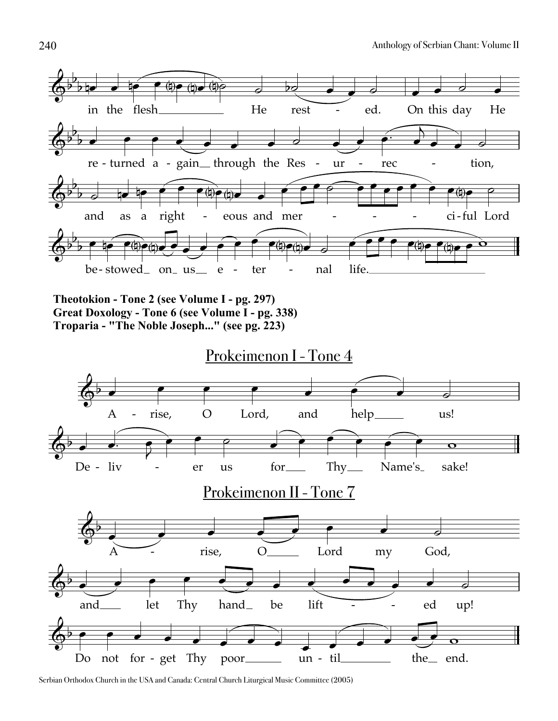

**Theotokion - Tone 2 (see Volume I - pg. 297) Great Doxology - Tone 6 (see Volume I - pg. 338) Troparia - "The Noble Joseph..." (see pg. 223)**

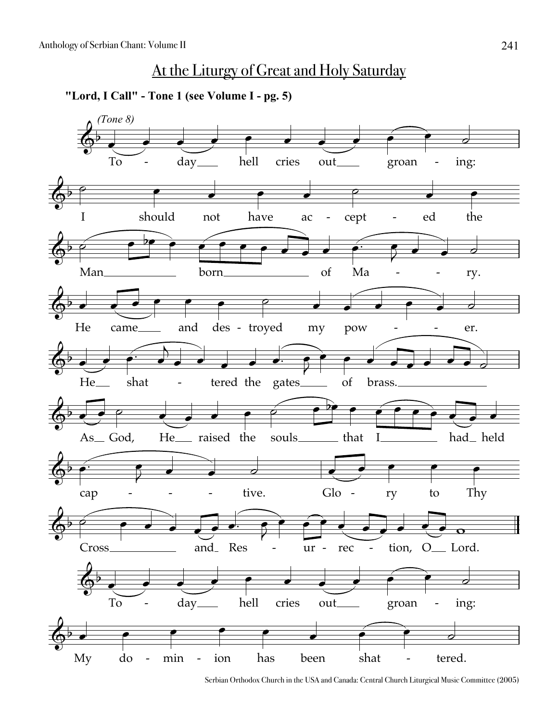## At the Liturgy of Great and Holy Saturday

**"Lord, I Call" - Tone 1 (see Volume I - pg. 5)**



Serbian Orthodox Church in the USA and Canada: Central Church Liturgical Music Committee (2005)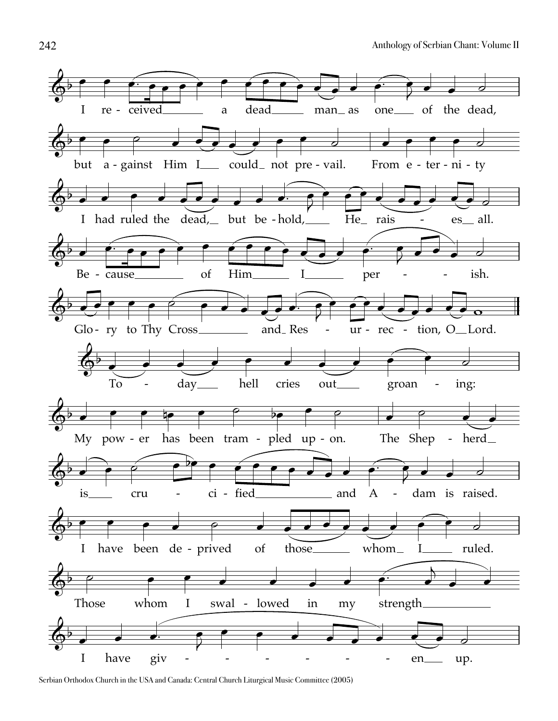

Serbian Orthodox Church in the USA and Canada: Central Church Liturgical Music Committee (2005)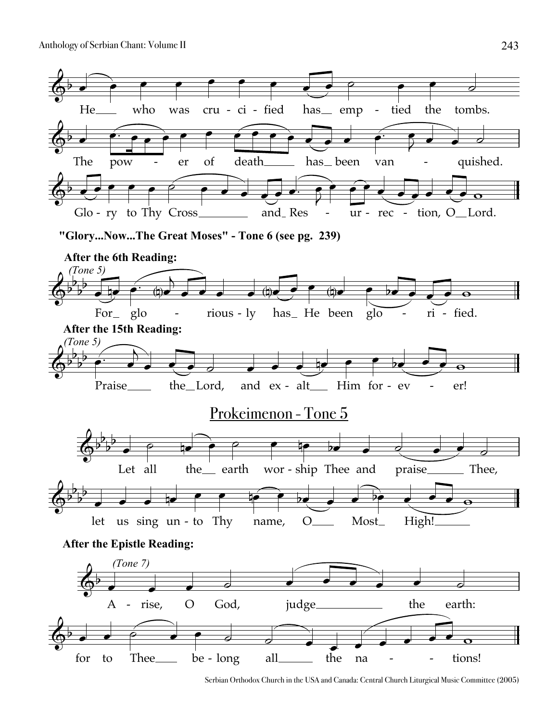

Serbian Orthodox Church in the USA and Canada: Central Church Liturgical Music Committee (2005)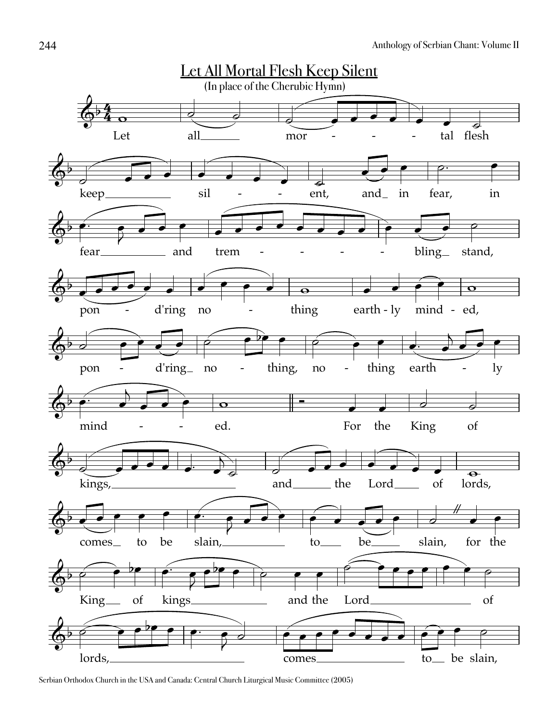